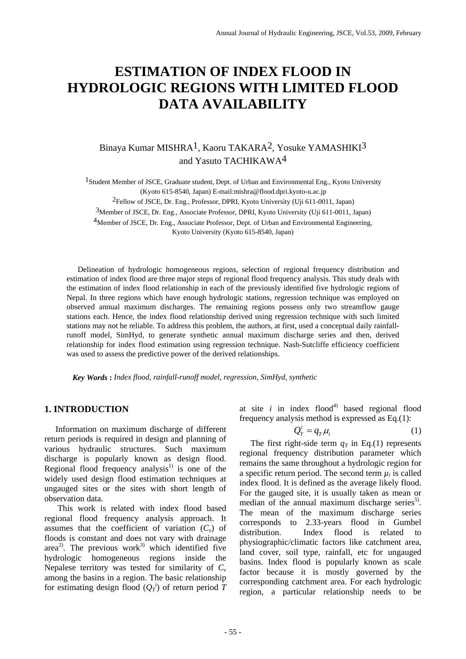## **ESTIMATION OF INDEX FLOOD IN HYDROLOGIC REGIONS WITH LIMITED FLOOD DATA AVAILABILITY**

### Binaya Kumar MISHRA1, Kaoru TAKARA2, Yosuke YAMASHIKI3 and Yasuto TACHIKAWA4

1Student Member of JSCE, Graduate student, Dept. of Urban and Environmental Eng., Kyoto University (Kyoto 615-8540, Japan) E-mail:mishra@flood.dpri.kyoto-u.ac.jp

2Fellow of JSCE, Dr. Eng., Professor, DPRI, Kyoto University (Uji 611-0011, Japan)

3Member of JSCE, Dr. Eng., Associate Professor, DPRI, Kyoto University (Uji 611-0011, Japan)

<sup>4</sup>Member of JSCE, Dr. Eng., Associate Professor, Dept. of Urban and Environmental Engineering,

Kyoto University (Kyoto 615-8540, Japan)

Delineation of hydrologic homogeneous regions, selection of regional frequency distribution and estimation of index flood are three major steps of regional flood frequency analysis. This study deals with the estimation of index flood relationship in each of the previously identified five hydrologic regions of Nepal. In three regions which have enough hydrologic stations, regression technique was employed on observed annual maximum discharges. The remaining regions possess only two streamflow gauge stations each. Hence, the index flood relationship derived using regression technique with such limited stations may not be reliable. To address this problem, the authors, at first, used a conceptual daily rainfallrunoff model, SimHyd, to generate synthetic annual maximum discharge series and then, derived relationship for index flood estimation using regression technique. Nash-Sutcliffe efficiency coefficient was used to assess the predictive power of the derived relationships.

 *Key Words* **:** *Index flood, rainfall-runoff model, regression, SimHyd, synthetic* 

#### **1. INTRODUCTION**

Information on maximum discharge of different return periods is required in design and planning of various hydraulic structures. Such maximum discharge is popularly known as design flood. Regional flood frequency analysis $1$  is one of the widely used design flood estimation techniques at ungauged sites or the sites with short length of observation data.

 This work is related with index flood based regional flood frequency analysis approach. It assumes that the coefficient of variation  $(C_v)$  of floods is constant and does not vary with drainage area<sup>2)</sup>. The previous work<sup>3)</sup> which identified five hydrologic homogeneous regions inside the Nepalese territory was tested for similarity of  $C_v$ among the basins in a region. The basic relationship for estimating design flood  $(Q_T^i)$  of return period  $\hat{T}$ 

at site  $i$  in index flood<sup>4)</sup> based regional flood frequency analysis method is expressed as Eq.(1):

$$
Q_T^i = q_T \mu_i \tag{1}
$$

The first right-side term  $q_T$  in Eq.(1) represents regional frequency distribution parameter which remains the same throughout a hydrologic region for a specific return period. The second term  $\mu_i$  is called index flood. It is defined as the average likely flood. For the gauged site, it is usually taken as mean or median of the annual maximum discharge series<sup>5)</sup>. The mean of the maximum discharge series corresponds to 2.33-years flood in Gumbel distribution. Index flood is related to physiographic/climatic factors like catchment area, land cover, soil type, rainfall, etc for ungauged basins. Index flood is popularly known as scale factor because it is mostly governed by the corresponding catchment area. For each hydrologic region, a particular relationship needs to be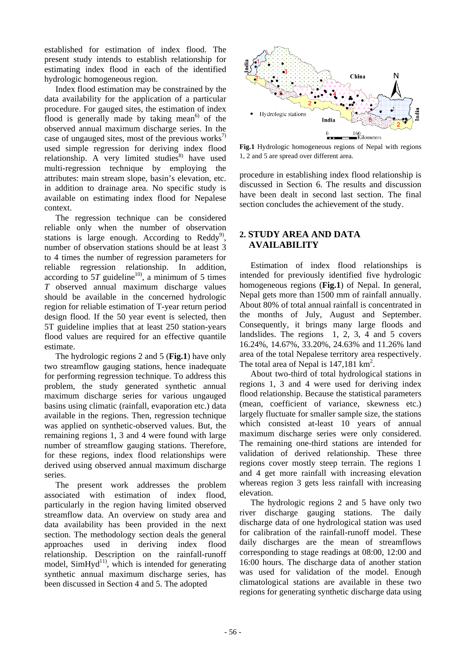established for estimation of index flood. The present study intends to establish relationship for estimating index flood in each of the identified hydrologic homogeneous region.

Index flood estimation may be constrained by the data availability for the application of a particular procedure. For gauged sites, the estimation of index flood is generally made by taking mean<sup> $6$ </sup> of the observed annual maximum discharge series. In the case of ungauged sites, most of the previous works<sup>7)</sup> used simple regression for deriving index flood relationship. A very limited studies<sup>8)</sup> have used multi-regression technique by employing the attributes: main stream slope, basin's elevation, etc. in addition to drainage area. No specific study is available on estimating index flood for Nepalese context.

The regression technique can be considered reliable only when the number of observation stations is large enough. According to  $\text{Reddy}^{9}$ , **2. STUDY AREA AND DATA** number of observation stations should be at least 3 to 4 times the number of regression parameters for reliable regression relationship. In addition, according to  $5T$  guideline<sup>10</sup>, a minimum of 5 times *T* observed annual maximum discharge values should be available in the concerned hydrologic region for reliable estimation of T-year return period design flood. If the 50 year event is selected, then 5T guideline implies that at least 250 station-years flood values are required for an effective quantile estimate.

The hydrologic regions 2 and 5 (**Fig.1**) have only two streamflow gauging stations, hence inadequate for performing regression technique. To address this problem, the study generated synthetic annual maximum discharge series for various ungauged basins using climatic (rainfall, evaporation etc.) data available in the regions. Then, regression technique was applied on synthetic-observed values. But, the remaining regions 1, 3 and 4 were found with large number of streamflow gauging stations. Therefore, for these regions, index flood relationships were derived using observed annual maximum discharge series.

The present work addresses the problem associated with estimation of index flood, particularly in the region having limited observed streamflow data. An overview on study area and data availability has been provided in the next section. The methodology section deals the general approaches used in deriving index flood relationship. Description on the rainfall-runoff model,  $SimHyd<sup>11</sup>$ , which is intended for generating synthetic annual maximum discharge series, has been discussed in Section 4 and 5. The adopted



**Fig.1** Hydrologic homogeneous regions of Nepal with regions 1, 2 and 5 are spread over different area.

procedure in establishing index flood relationship is discussed in Section 6. The results and discussion have been dealt in second last section. The final section concludes the achievement of the study.

# **AVAILABILITY**

Estimation of index flood relationships is intended for previously identified five hydrologic homogeneous regions (**Fig.1**) of Nepal. In general, Nepal gets more than 1500 mm of rainfall annually. About 80% of total annual rainfall is concentrated in the months of July, August and September. Consequently, it brings many large floods and landslides. The regions 1, 2, 3, 4 and 5 covers 16.24%, 14.67%, 33.20%, 24.63% and 11.26% land area of the total Nepalese territory area respectively. The total area of Nepal is 147,181 km<sup>2</sup>.

About two-third of total hydrological stations in regions 1, 3 and 4 were used for deriving index flood relationship. Because the statistical parameters (mean, coefficient of variance, skewness etc.) largely fluctuate for smaller sample size, the stations which consisted at-least 10 years of annual maximum discharge series were only considered. The remaining one-third stations are intended for validation of derived relationship. These three regions cover mostly steep terrain. The regions 1 and 4 get more rainfall with increasing elevation whereas region 3 gets less rainfall with increasing elevation.

The hydrologic regions 2 and 5 have only two river discharge gauging stations. The daily discharge data of one hydrological station was used for calibration of the rainfall-runoff model. These daily discharges are the mean of streamflows corresponding to stage readings at 08:00, 12:00 and 16:00 hours. The discharge data of another station was used for validation of the model. Enough climatological stations are available in these two regions for generating synthetic discharge data using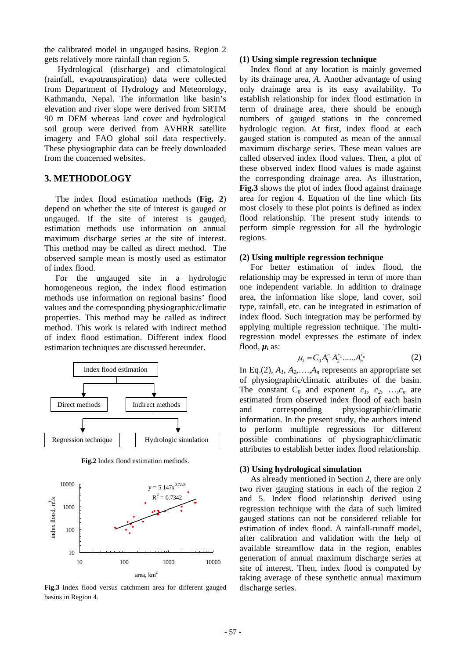the calibrated model in ungauged basins. Region 2 gets relatively more rainfall than region 5. **(1) Using simple regression technique** 

 Hydrological (discharge) and climatological (rainfall, evapotranspiration) data were collected from Department of Hydrology and Meteorology, Kathmandu, Nepal. The information like basin's elevation and river slope were derived from SRTM 90 m DEM whereas land cover and hydrological soil group were derived from AVHRR satellite imagery and FAO global soil data respectively. These physiographic data can be freely downloaded from the concerned websites.

#### **3. METHODOLOGY**

The index flood estimation methods (**Fig. 2**) depend on whether the site of interest is gauged or ungauged. If the site of interest is gauged, estimation methods use information on annual maximum discharge series at the site of interest. This method may be called as direct method. The observed sample mean is mostly used as estimator of index flood.

For the ungauged site in a hydrologic homogeneous region, the index flood estimation methods use information on regional basins' flood values and the corresponding physiographic/climatic properties. This method may be called as indirect method. This work is related with indirect method of index flood estimation. Different index flood estimation techniques are discussed hereunder.



**Fig.2** Index flood estimation methods.



**Fig.3** Index flood versus catchment area for different gauged basins in Region 4.

Index flood at any location is mainly governed by its drainage area, *A*. Another advantage of using only drainage area is its easy availability. To establish relationship for index flood estimation in term of drainage area, there should be enough numbers of gauged stations in the concerned hydrologic region. At first, index flood at each gauged station is computed as mean of the annual maximum discharge series. These mean values are called observed index flood values. Then, a plot of these observed index flood values is made against the corresponding drainage area. As illustration, **Fig.3** shows the plot of index flood against drainage area for region 4. Equation of the line which fits most closely to these plot points is defined as index flood relationship. The present study intends to perform simple regression for all the hydrologic regions.

#### **(2) Using multiple regression technique**

For better estimation of index flood, the relationship may be expressed in term of more than one independent variable. In addition to drainage area, the information like slope, land cover, soil type, rainfall, etc. can be integrated in estimation of index flood. Such integration may be performed by applying multiple regression technique. The multiregression model expresses the estimate of index flood,  $\mu_i$  as:

$$
\mu_i = C_0 A_1^{c_1} A_2^{c_2} \dots A_n^{c_n} \tag{2}
$$

In Eq.(2),  $A_1$ ,  $A_2$ , ..., $A_n$  represents an appropriate set of physiographic/climatic attributes of the basin. The constant  $C_0$  and exponent  $c_1$ ,  $c_2$ , ..., $c_n$  are estimated from observed index flood of each basin and corresponding physiographic/climatic information. In the present study, the authors intend to perform multiple regressions for different possible combinations of physiographic/climatic attributes to establish better index flood relationship.

#### **(3) Using hydrological simulation**

As already mentioned in Section 2, there are only two river gauging stations in each of the region 2 and 5. Index flood relationship derived using regression technique with the data of such limited gauged stations can not be considered reliable for estimation of index flood. A rainfall-runoff model, after calibration and validation with the help of available streamflow data in the region, enables generation of annual maximum discharge series at site of interest. Then, index flood is computed by taking average of these synthetic annual maximum discharge series.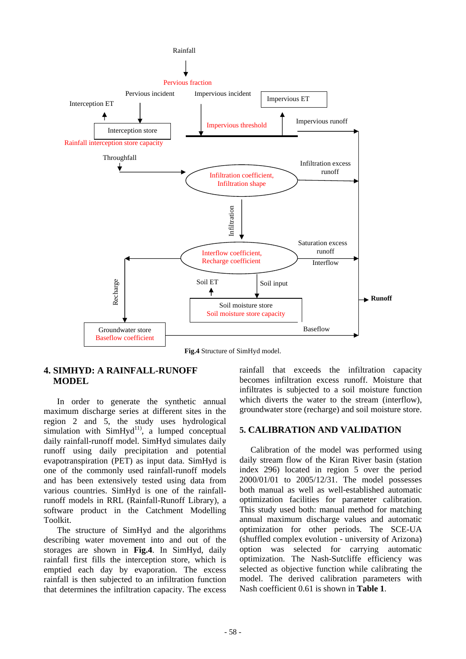

**Fig.4** Structure of SimHyd model.

#### **4. SIMHYD: A RAINFALL-RUNOFF MODEL**

In order to generate the synthetic annual maximum discharge series at different sites in the region 2 and 5, the study uses hydrological simulation with  $SimHyd<sup>11</sup>$ , a lumped conceptual daily rainfall-runoff model. SimHyd simulates daily runoff using daily precipitation and potential evapotranspiration (PET) as input data. SimHyd is one of the commonly used rainfall-runoff models and has been extensively tested using data from various countries. SimHyd is one of the rainfallrunoff models in RRL (Rainfall-Runoff Library), a software product in the Catchment Modelling Toolkit.

The structure of SimHyd and the algorithms describing water movement into and out of the storages are shown in **Fig.4**. In SimHyd, daily rainfall first fills the interception store, which is emptied each day by evaporation. The excess rainfall is then subjected to an infiltration function that determines the infiltration capacity. The excess rainfall that exceeds the infiltration capacity becomes infiltration excess runoff. Moisture that infiltrates is subjected to a soil moisture function which diverts the water to the stream (interflow). groundwater store (recharge) and soil moisture store.

#### **5. CALIBRATION AND VALIDATION**

Calibration of the model was performed using daily stream flow of the Kiran River basin (station index 296) located in region 5 over the period 2000/01/01 to 2005/12/31. The model possesses both manual as well as well-established automatic optimization facilities for parameter calibration. This study used both: manual method for matching annual maximum discharge values and automatic optimization for other periods. The SCE-UA (shuffled complex evolution - university of Arizona) option was selected for carrying automatic optimization. The Nash-Sutcliffe efficiency was selected as objective function while calibrating the model. The derived calibration parameters with Nash coefficient 0.61 is shown in **Table 1**.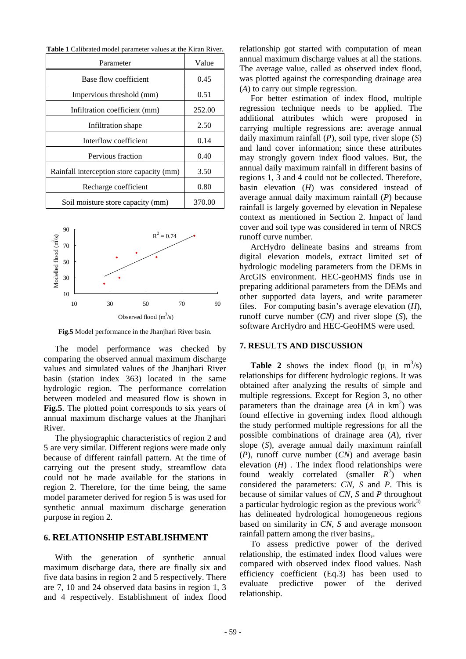|  | <b>Table 1</b> Calibrated model parameter values at the Kiran River. |
|--|----------------------------------------------------------------------|
|--|----------------------------------------------------------------------|

| Parameter                                 | Value  |
|-------------------------------------------|--------|
| Base flow coefficient                     | 0.45   |
| Impervious threshold (mm)                 | 0.51   |
| Infiltration coefficient (mm)             | 252.00 |
| Infiltration shape                        | 2.50   |
| Interflow coefficient                     | 0.14   |
| Pervious fraction                         | 0.40   |
| Rainfall interception store capacity (mm) | 3.50   |
| Recharge coefficient                      | 0.80   |
| Soil moisture store capacity (mm)         | 370.00 |



**Fig.5** Model performance in the Jhanjhari River basin.

The model performance was checked by com paring the observed annual maximum discharge values and simulated values of the Jhanjhari River basin (station index 363) located in the same hydrologic region. The performance correlation between modeled and measured flow is shown in **Fig.5**. The plotted point corresponds to six years of annual maximum discharge values at the Jhanjhari River.

The physiographic characteristics of region 2 and 5 a re very similar. Different regions were made only because of different rainfall pattern. At the time of carrying out the present study, streamflow data could not be made available for the stations in region 2. Therefore, for the time being, the same model parameter derived for region 5 is was used for synthetic annual maximum discharge generation purpose in region 2.

#### **6. RELATIONSHIP ESTABLISHMENT**

With the generation of synthetic annual ma ximum discharge data, there are finally six and five data basins in region 2 and 5 respectively. There are 7, 10 and 24 observed data basins in region 1, 3 and 4 respectively. Establishment of index flood

relationship got started with computation of mean annual maximum discharge values at all the stations. The average value, called as observed index flood, was plotted against the corresponding drainage area (*A*) to carry out simple regression.

For better estimation of index flood, multiple reg ression technique needs to be applied. The additional attributes which were proposed in carrying multiple regressions are: average annual daily maximum rainfall (*P*), soil type, river slope (*S*) and land cover information; since these attributes may strongly govern index flood values. But, the annual daily maximum rainfall in different basins of regions 1, 3 and 4 could not be collected. Therefore, basin elevation (*H*) was considered instead of average annual daily maximum rainfall (*P*) because rainfall is largely governed by elevation in Nepalese context as mentioned in Section 2. Impact of land cover and soil type was considered in term of NRCS runoff curve number.

ArcHydro delineate basins and streams from dig ital elevation models, extract limited set of hydrologic modeling parameters from the DEMs in ArcGIS environment. HEC-geoHMS finds use in preparing additional parameters from the DEMs and other supported data layers, and write parameter files. For computing basin's average elevation (*H*), runoff curve number (*CN*) and river slope (*S*), the software ArcHydro and HEC-GeoHMS were used.

#### **7. RESULTS AND DISCUSSION**

**Table 2** shows the index flood  $(\mu_i \text{ in } m^3/s)$ rel ationships for different hydrologic regions. It was obtained after analyzing the results of simple and multiple regressions. Except for Region 3, no other parameters than the drainage area  $(A \text{ in } km^2)$  was found effective in governing index flood although the study performed multiple regressions for all the possible combinations of drainage area (*A*), river slope (*S*), average annual daily maximum rainfall (*P*), runoff curve number (*CN*) and average basin elevation (*H*) . The index flood relationships were found weakly correlated (smaller  $R^2$ ) when considered the parameters: *CN*, *S* and *P*. This is because of similar values of *CN, S* and *P* throughout a particular hydrologic region as the previous work $^{3)}$ has delineated hydrological homogeneous regions based on similarity in *CN*, *S* and average monsoon rainfall pattern among the river basins,.

To assess predictive power of the derived rel ationship, the estimated index flood values were relationship. compared with observed index flood values. Nash efficiency coefficient (Eq.3) has been used to evaluate predictive power of the derived